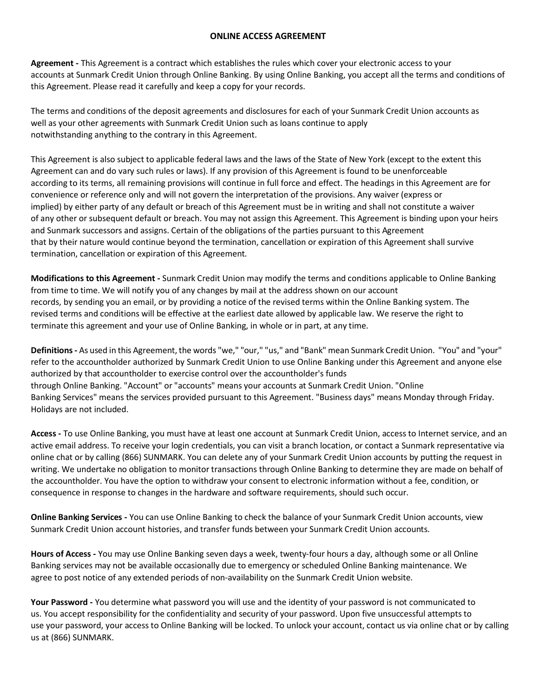## **ONLINE ACCESS AGREEMENT**

**Agreement -** This Agreement is a contract which establishes the rules which cover your electronic access to your accounts at Sunmark Credit Union through Online Banking. By using Online Banking, you accept all the terms and conditions of this Agreement. Please read it carefully and keep a copy for your records.

The terms and conditions of the deposit agreements and disclosures for each of your Sunmark Credit Union accounts as well as your other agreements with Sunmark Credit Union such as loans continue to apply notwithstanding anything to the contrary in this Agreement.

This Agreement is also subject to applicable federal laws and the laws of the State of New York (except to the extent this Agreement can and do vary such rules or laws). If any provision of this Agreement is found to be unenforceable according to its terms, all remaining provisions will continue in full force and effect. The headings in this Agreement are for convenience or reference only and will not govern the interpretation of the provisions. Any waiver (express or implied) by either party of any default or breach of this Agreement must be in writing and shall not constitute a waiver of any other or subsequent default or breach. You may not assign this Agreement. This Agreement is binding upon your heirs and Sunmark successors and assigns. Certain of the obligations of the parties pursuant to this Agreement that by their nature would continue beyond the termination, cancellation or expiration of this Agreement shall survive termination, cancellation or expiration of this Agreement.

**Modifications to this Agreement -** Sunmark Credit Union may modify the terms and conditions applicable to Online Banking from time to time. We will notify you of any changes by mail at the address shown on our account records, by sending you an email, or by providing a notice of the revised terms within the Online Banking system. The revised terms and conditions will be effective at the earliest date allowed by applicable law. We reserve the right to terminate this agreement and your use of Online Banking, in whole or in part, at any time.

Definitions - As used in this Agreement, the words "we," "our," "us," and "Bank" mean Sunmark Credit Union. "You" and "your" refer to the accountholder authorized by Sunmark Credit Union to use Online Banking under this Agreement and anyone else authorized by that accountholder to exercise control over the accountholder's funds through Online Banking. "Account" or "accounts" means your accounts at Sunmark Credit Union. "Online Banking Services" means the services provided pursuant to this Agreement. "Business days" means Monday through Friday. Holidays are not included.

**Access -** To use Online Banking, you must have at least one account at Sunmark Credit Union, access to Internet service, and an active email address. To receive your login credentials, you can visit a branch location, or contact a Sunmark representative via online chat or by calling (866) SUNMARK. You can delete any of your Sunmark Credit Union accounts by putting the request in writing. We undertake no obligation to monitor transactions through Online Banking to determine they are made on behalf of the accountholder. You have the option to withdraw your consent to electronic information without a fee, condition, or consequence in response to changes in the hardware and software requirements, should such occur.

**Online Banking Services -** You can use Online Banking to check the balance of your Sunmark Credit Union accounts, view Sunmark Credit Union account histories, and transfer funds between your Sunmark Credit Union accounts.

**Hours of Access -** You may use Online Banking seven days a week, twenty-four hours a day, although some or all Online Banking services may not be available occasionally due to emergency or scheduled Online Banking maintenance. We agree to post notice of any extended periods of non-availability on the Sunmark Credit Union website.

**Your Password -** You determine what password you will use and the identity of your password is not communicated to us. You accept responsibility for the confidentiality and security of your password. Upon five unsuccessful attempts to use your password, your access to Online Banking will be locked. To unlock your account, contact us via online chat or by calling us at (866) SUNMARK.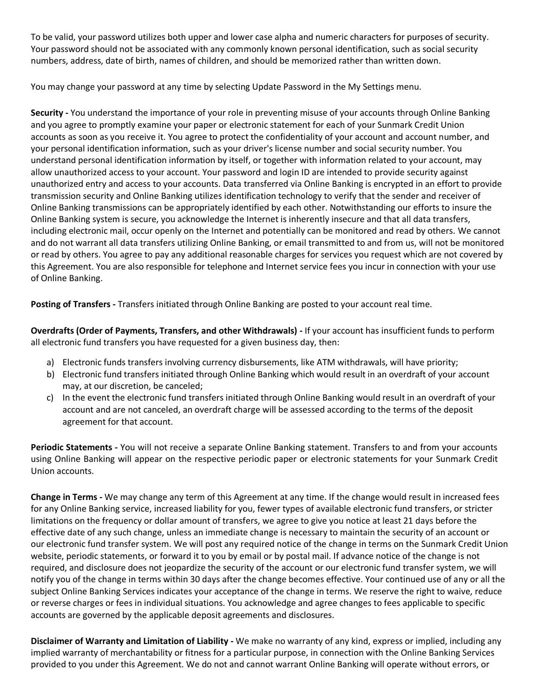To be valid, your password utilizes both upper and lower case alpha and numeric characters for purposes of security. Your password should not be associated with any commonly known personal identification, such as social security numbers, address, date of birth, names of children, and should be memorized rather than written down.

You may change your password at any time by selecting Update Password in the My Settings menu.

**Security -** You understand the importance of your role in preventing misuse of your accounts through Online Banking and you agree to promptly examine your paper or electronic statement for each of your Sunmark Credit Union accounts as soon as you receive it. You agree to protect the confidentiality of your account and account number, and your personal identification information, such as your driver's license number and social security number. You understand personal identification information by itself, or together with information related to your account, may allow unauthorized access to your account. Your password and login ID are intended to provide security against unauthorized entry and access to your accounts. Data transferred via Online Banking is encrypted in an effort to provide transmission security and Online Banking utilizes identification technology to verify that the sender and receiver of Online Banking transmissions can be appropriately identified by each other. Notwithstanding our efforts to insure the Online Banking system is secure, you acknowledge the Internet is inherently insecure and that all data transfers, including electronic mail, occur openly on the Internet and potentially can be monitored and read by others. We cannot and do not warrant all data transfers utilizing Online Banking, or email transmitted to and from us, will not be monitored or read by others. You agree to pay any additional reasonable charges for services you request which are not covered by this Agreement. You are also responsible for telephone and Internet service fees you incur in connection with your use of Online Banking.

**Posting of Transfers -** Transfers initiated through Online Banking are posted to your account real time.

**Overdrafts (Order of Payments, Transfers, and other Withdrawals) -** If your account has insufficient funds to perform all electronic fund transfers you have requested for a given business day, then:

- a) Electronic funds transfers involving currency disbursements, like ATM withdrawals, will have priority;
- b) Electronic fund transfers initiated through Online Banking which would result in an overdraft of your account may, at our discretion, be canceled;
- c) In the event the electronic fund transfers initiated through Online Banking would result in an overdraft of your account and are not canceled, an overdraft charge will be assessed according to the terms of the deposit agreement for that account.

**Periodic Statements -** You will not receive a separate Online Banking statement. Transfers to and from your accounts using Online Banking will appear on the respective periodic paper or electronic statements for your Sunmark Credit Union accounts.

**Change in Terms -** We may change any term of this Agreement at any time. If the change would result in increased fees for any Online Banking service, increased liability for you, fewer types of available electronic fund transfers, or stricter limitations on the frequency or dollar amount of transfers, we agree to give you notice at least 21 days before the effective date of any such change, unless an immediate change is necessary to maintain the security of an account or our electronic fund transfer system. We will post any required notice of the change in terms on the Sunmark Credit Union website, periodic statements, or forward it to you by email or by postal mail. If advance notice of the change is not required, and disclosure does not jeopardize the security of the account or our electronic fund transfer system, we will notify you of the change in terms within 30 days after the change becomes effective. Your continued use of any or all the subject Online Banking Services indicates your acceptance of the change in terms. We reserve the right to waive, reduce or reverse charges or fees in individual situations. You acknowledge and agree changes to fees applicable to specific accounts are governed by the applicable deposit agreements and disclosures.

**Disclaimer of Warranty and Limitation of Liability -** We make no warranty of any kind, express or implied, including any implied warranty of merchantability or fitness for a particular purpose, in connection with the Online Banking Services provided to you under this Agreement. We do not and cannot warrant Online Banking will operate without errors, or